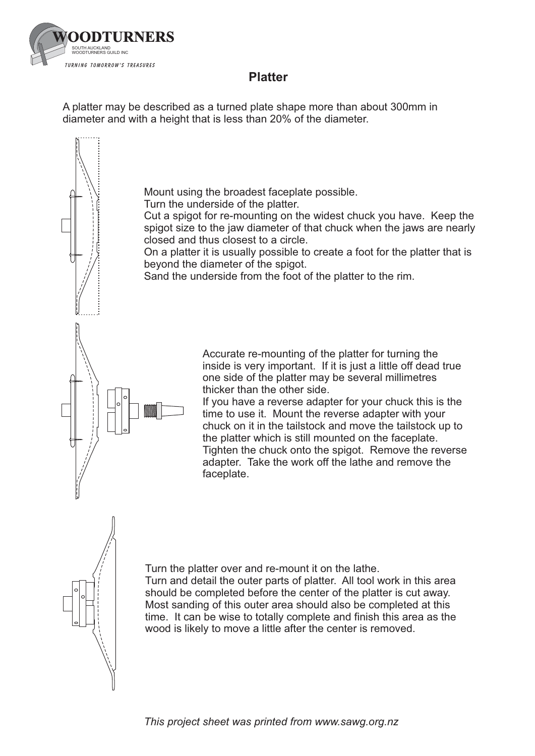

## **Platter Platter**

A platter may be described as a turned plate shape more than about 300mm in diameter and with a height that is less than 20% of the diameter.

Mount using the broadest faceplate possible.

Turn the underside of the platter.

Cut a spigot for re-mounting on the widest chuck you have. Keep the spigot size to the jaw diameter of that chuck when the jaws are nearly closed and thus closest to a circle.

On a platter it is usually possible to create a foot for the platter that is beyond the diameter of the spigot.

Sand the underside from the foot of the platter to the rim.

Accurate re-mounting of the platter for turning the inside is very important. If it is just a little off dead true one side of the platter may be several millimetres thicker than the other side.

If you have a reverse adapter for your chuck this is the time to use it. Mount the reverse adapter with your chuck on it in the tailstock and move the tailstock up to the platter which is still mounted on the faceplate. Tighten the chuck onto the spigot. Remove the reverse adapter. Take the work off the lathe and remove the faceplate.



Turn the platter over and re-mount it on the lathe. Turn and detail the outer parts of platter. All tool work in this area should be completed before the center of the platter is cut away. Most sanding of this outer area should also be completed at this time. It can be wise to totally complete and finish this area as the wood is likely to move a little after the center is removed.